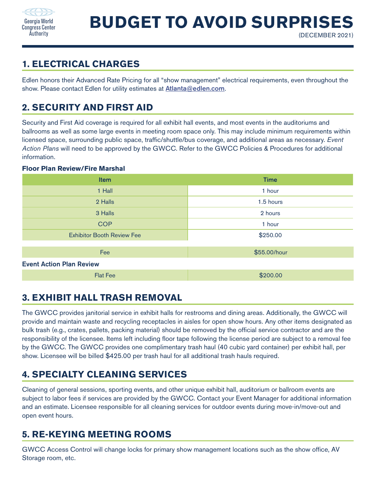

### **1. ELECTRICAL CHARGES**

Edlen honors their Advanced Rate Pricing for all "show management" electrical requirements, even throughout the show. Please contact Edlen for utility estimates at **[Atlanta@edlen.com](mailto:Atlanta%40edlen.com?subject=GWCCA%20Advance%20Rate%20Pricing).** 

# **2. SECURITY AND FIRST AID**

Security and First Aid coverage is required for all exhibit hall events, and most events in the auditoriums and ballrooms as well as some large events in meeting room space only. This may include minimum requirements within licensed space, surrounding public space, traffic/shuttle/bus coverage, and additional areas as necessary. *Event Action Plans* will need to be approved by the GWCC. Refer to the GWCC Policies & Procedures for additional information.

#### **Floor Plan Review/Fire Marshal**

| <b>Item</b>                       | <b>Time</b>  |
|-----------------------------------|--------------|
| 1 Hall                            | 1 hour       |
| 2 Halls                           | 1.5 hours    |
| 3 Halls                           | 2 hours      |
| <b>COP</b>                        | 1 hour       |
| <b>Exhibitor Booth Review Fee</b> | \$250.00     |
|                                   |              |
| Fee                               | \$55.00/hour |
| <b>Event Action Plan Review</b>   |              |
| <b>Flat Fee</b>                   | \$200.00     |

# **3. EXHIBIT HALL TRASH REMOVAL**

The GWCC provides janitorial service in exhibit halls for restrooms and dining areas. Additionally, the GWCC will provide and maintain waste and recycling receptacles in aisles for open show hours. Any other items designated as bulk trash (e.g., crates, pallets, packing material) should be removed by the official service contractor and are the responsibility of the licensee. Items left including floor tape following the license period are subject to a removal fee by the GWCC. The GWCC provides one complimentary trash haul (40 cubic yard container) per exhibit hall, per show. Licensee will be billed \$425.00 per trash haul for all additional trash hauls required.

# **4. SPECIALTY CLEANING SERVICES**

Cleaning of general sessions, sporting events, and other unique exhibit hall, auditorium or ballroom events are subject to labor fees if services are provided by the GWCC. Contact your Event Manager for additional information and an estimate. Licensee responsible for all cleaning services for outdoor events during move-in/move-out and open event hours.

# **5. RE-KEYING MEETING ROOMS**

GWCC Access Control will change locks for primary show management locations such as the show office, AV Storage room, etc.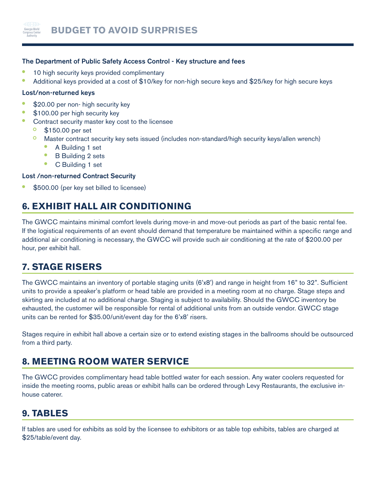

#### The Department of Public Safety Access Control - Key structure and fees

- **•** 10 high security keys provided complimentary
- **•** Additional keys provided at a cost of \$10/key for non-high secure keys and \$25/key for high secure keys

#### Lost/non-returned keys

- **•** \$20.00 per non- high security key
- **•** \$100.00 per high security key
- **•** Contract security master key cost to the licensee
	- \$150.00 per set
	- Master contract security key sets issued (includes non-standard/high security keys/allen wrench)
		- **•** A Building 1 set
		- **•** B Building 2 sets
		- **•** C Building 1 set

### Lost /non-returned Contract Security

**•** \$500.00 (per key set billed to licensee)

# **6. EXHIBIT HALL AIR CONDITIONING**

The GWCC maintains minimal comfort levels during move-in and move-out periods as part of the basic rental fee. If the logistical requirements of an event should demand that temperature be maintained within a specific range and additional air conditioning is necessary, the GWCC will provide such air conditioning at the rate of \$200.00 per hour, per exhibit hall.

# **7. STAGE RISERS**

The GWCC maintains an inventory of portable staging units (6'x8') and range in height from 16" to 32". Sufficient units to provide a speaker's platform or head table are provided in a meeting room at no charge. Stage steps and skirting are included at no additional charge. Staging is subject to availability. Should the GWCC inventory be exhausted, the customer will be responsible for rental of additional units from an outside vendor. GWCC stage units can be rented for \$35.00/unit/event day for the 6'x8' risers.

Stages require in exhibit hall above a certain size or to extend existing stages in the ballrooms should be outsourced from a third party.

# **8. MEETING ROOM WATER SERVICE**

The GWCC provides complimentary head table bottled water for each session. Any water coolers requested for inside the meeting rooms, public areas or exhibit halls can be ordered through Levy Restaurants, the exclusive inhouse caterer.

### **9. TABLES**

If tables are used for exhibits as sold by the licensee to exhibitors or as table top exhibits, tables are charged at \$25/table/event day.